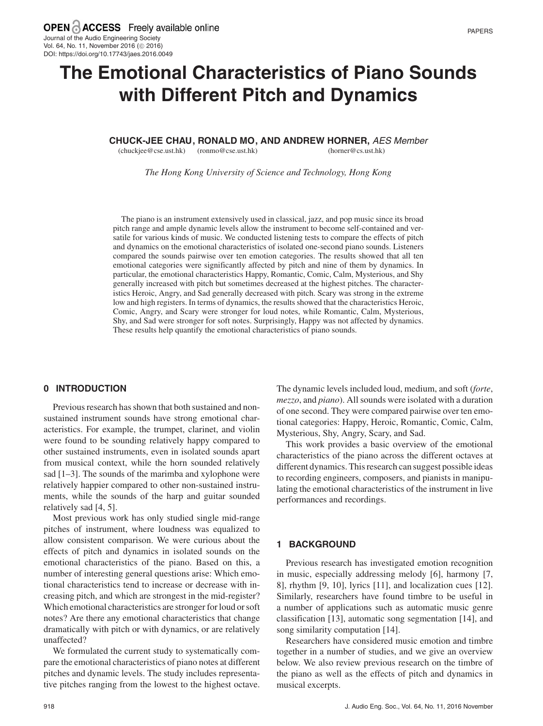# **The Emotional Characteristics of Piano Sounds with Different Pitch and Dynamics**

**CHUCK-JEE CHAU , RONALD MO , AND ANDREW HORNER,** AES Member

(chuckjee@cse.ust.hk) (ronmo@cse.ust.hk)

(horner@cs.ust.hk)

*The Hong Kong University of Science and Technology, Hong Kong*

The piano is an instrument extensively used in classical, jazz, and pop music since its broad pitch range and ample dynamic levels allow the instrument to become self-contained and versatile for various kinds of music. We conducted listening tests to compare the effects of pitch and dynamics on the emotional characteristics of isolated one-second piano sounds. Listeners compared the sounds pairwise over ten emotion categories. The results showed that all ten emotional categories were significantly affected by pitch and nine of them by dynamics. In particular, the emotional characteristics Happy, Romantic, Comic, Calm, Mysterious, and Shy generally increased with pitch but sometimes decreased at the highest pitches. The characteristics Heroic, Angry, and Sad generally decreased with pitch. Scary was strong in the extreme low and high registers. In terms of dynamics, the results showed that the characteristics Heroic, Comic, Angry, and Scary were stronger for loud notes, while Romantic, Calm, Mysterious, Shy, and Sad were stronger for soft notes. Surprisingly, Happy was not affected by dynamics. These results help quantify the emotional characteristics of piano sounds.

### **0 INTRODUCTION**

Previous research has shown that both sustained and nonsustained instrument sounds have strong emotional characteristics. For example, the trumpet, clarinet, and violin were found to be sounding relatively happy compared to other sustained instruments, even in isolated sounds apart from musical context, while the horn sounded relatively sad [1–3]. The sounds of the marimba and xylophone were relatively happier compared to other non-sustained instruments, while the sounds of the harp and guitar sounded relatively sad [4, 5].

Most previous work has only studied single mid-range pitches of instrument, where loudness was equalized to allow consistent comparison. We were curious about the effects of pitch and dynamics in isolated sounds on the emotional characteristics of the piano. Based on this, a number of interesting general questions arise: Which emotional characteristics tend to increase or decrease with increasing pitch, and which are strongest in the mid-register? Which emotional characteristics are stronger for loud or soft notes? Are there any emotional characteristics that change dramatically with pitch or with dynamics, or are relatively unaffected?

We formulated the current study to systematically compare the emotional characteristics of piano notes at different pitches and dynamic levels. The study includes representative pitches ranging from the lowest to the highest octave. The dynamic levels included loud, medium, and soft (*forte*, *mezzo*, and *piano*). All sounds were isolated with a duration of one second. They were compared pairwise over ten emotional categories: Happy, Heroic, Romantic, Comic, Calm, Mysterious, Shy, Angry, Scary, and Sad.

This work provides a basic overview of the emotional characteristics of the piano across the different octaves at different dynamics. This research can suggest possible ideas to recording engineers, composers, and pianists in manipulating the emotional characteristics of the instrument in live performances and recordings.

#### **1 BACKGROUND**

Previous research has investigated emotion recognition in music, especially addressing melody [6], harmony [7, 8], rhythm [9, 10], lyrics [11], and localization cues [12]. Similarly, researchers have found timbre to be useful in a number of applications such as automatic music genre classification [13], automatic song segmentation [14], and song similarity computation [14].

Researchers have considered music emotion and timbre together in a number of studies, and we give an overview below. We also review previous research on the timbre of the piano as well as the effects of pitch and dynamics in musical excerpts.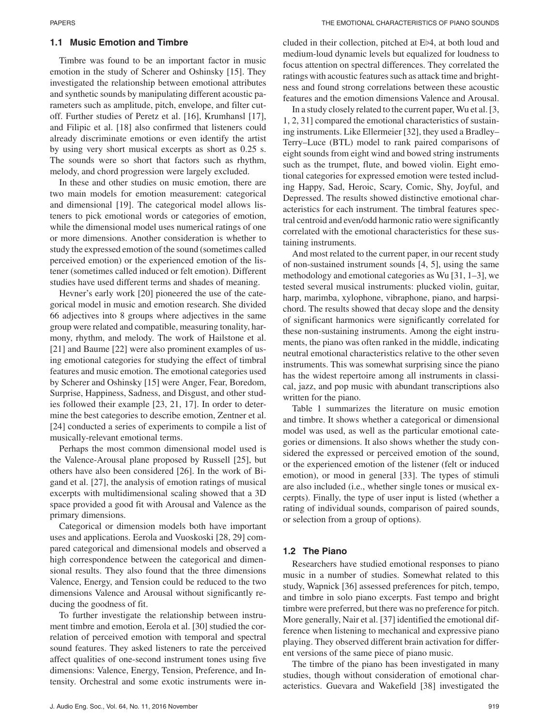#### **1.1 Music Emotion and Timbre**

Timbre was found to be an important factor in music emotion in the study of Scherer and Oshinsky [15]. They investigated the relationship between emotional attributes and synthetic sounds by manipulating different acoustic parameters such as amplitude, pitch, envelope, and filter cutoff. Further studies of Peretz et al. [16], Krumhansl [17], and Filipic et al. [18] also confirmed that listeners could already discriminate emotions or even identify the artist by using very short musical excerpts as short as 0.25 s. The sounds were so short that factors such as rhythm, melody, and chord progression were largely excluded.

In these and other studies on music emotion, there are two main models for emotion measurement: categorical and dimensional [19]. The categorical model allows listeners to pick emotional words or categories of emotion, while the dimensional model uses numerical ratings of one or more dimensions. Another consideration is whether to study the expressed emotion of the sound (sometimes called perceived emotion) or the experienced emotion of the listener (sometimes called induced or felt emotion). Different studies have used different terms and shades of meaning.

Hevner's early work [20] pioneered the use of the categorical model in music and emotion research. She divided 66 adjectives into 8 groups where adjectives in the same group were related and compatible, measuring tonality, harmony, rhythm, and melody. The work of Hailstone et al. [21] and Baume [22] were also prominent examples of using emotional categories for studying the effect of timbral features and music emotion. The emotional categories used by Scherer and Oshinsky [15] were Anger, Fear, Boredom, Surprise, Happiness, Sadness, and Disgust, and other studies followed their example [23, 21, 17]. In order to determine the best categories to describe emotion, Zentner et al. [24] conducted a series of experiments to compile a list of musically-relevant emotional terms.

Perhaps the most common dimensional model used is the Valence-Arousal plane proposed by Russell [25], but others have also been considered [26]. In the work of Bigand et al. [27], the analysis of emotion ratings of musical excerpts with multidimensional scaling showed that a 3D space provided a good fit with Arousal and Valence as the primary dimensions.

Categorical or dimension models both have important uses and applications. Eerola and Vuoskoski [28, 29] compared categorical and dimensional models and observed a high correspondence between the categorical and dimensional results. They also found that the three dimensions Valence, Energy, and Tension could be reduced to the two dimensions Valence and Arousal without significantly reducing the goodness of fit.

To further investigate the relationship between instrument timbre and emotion, Eerola et al. [30] studied the correlation of perceived emotion with temporal and spectral sound features. They asked listeners to rate the perceived affect qualities of one-second instrument tones using five dimensions: Valence, Energy, Tension, Preference, and Intensity. Orchestral and some exotic instruments were in-

cluded in their collection, pitched at Eb4, at both loud and medium-loud dynamic levels but equalized for loudness to focus attention on spectral differences. They correlated the ratings with acoustic features such as attack time and brightness and found strong correlations between these acoustic features and the emotion dimensions Valence and Arousal.

In a study closely related to the current paper, Wu et al. [3, 1, 2, 31] compared the emotional characteristics of sustaining instruments. Like Ellermeier [32], they used a Bradley– Terry–Luce (BTL) model to rank paired comparisons of eight sounds from eight wind and bowed string instruments such as the trumpet, flute, and bowed violin. Eight emotional categories for expressed emotion were tested including Happy, Sad, Heroic, Scary, Comic, Shy, Joyful, and Depressed. The results showed distinctive emotional characteristics for each instrument. The timbral features spectral centroid and even/odd harmonic ratio were significantly correlated with the emotional characteristics for these sustaining instruments.

And most related to the current paper, in our recent study of non-sustained instrument sounds [4, 5], using the same methodology and emotional categories as Wu [31, 1–3], we tested several musical instruments: plucked violin, guitar, harp, marimba, xylophone, vibraphone, piano, and harpsichord. The results showed that decay slope and the density of significant harmonics were significantly correlated for these non-sustaining instruments. Among the eight instruments, the piano was often ranked in the middle, indicating neutral emotional characteristics relative to the other seven instruments. This was somewhat surprising since the piano has the widest repertoire among all instruments in classical, jazz, and pop music with abundant transcriptions also written for the piano.

Table 1 summarizes the literature on music emotion and timbre. It shows whether a categorical or dimensional model was used, as well as the particular emotional categories or dimensions. It also shows whether the study considered the expressed or perceived emotion of the sound, or the experienced emotion of the listener (felt or induced emotion), or mood in general [33]. The types of stimuli are also included (i.e., whether single tones or musical excerpts). Finally, the type of user input is listed (whether a rating of individual sounds, comparison of paired sounds, or selection from a group of options).

#### **1.2 The Piano**

Researchers have studied emotional responses to piano music in a number of studies. Somewhat related to this study, Wapnick [36] assessed preferences for pitch, tempo, and timbre in solo piano excerpts. Fast tempo and bright timbre were preferred, but there was no preference for pitch. More generally, Nair et al. [37] identified the emotional difference when listening to mechanical and expressive piano playing. They observed different brain activation for different versions of the same piece of piano music.

The timbre of the piano has been investigated in many studies, though without consideration of emotional characteristics. Guevara and Wakefield [38] investigated the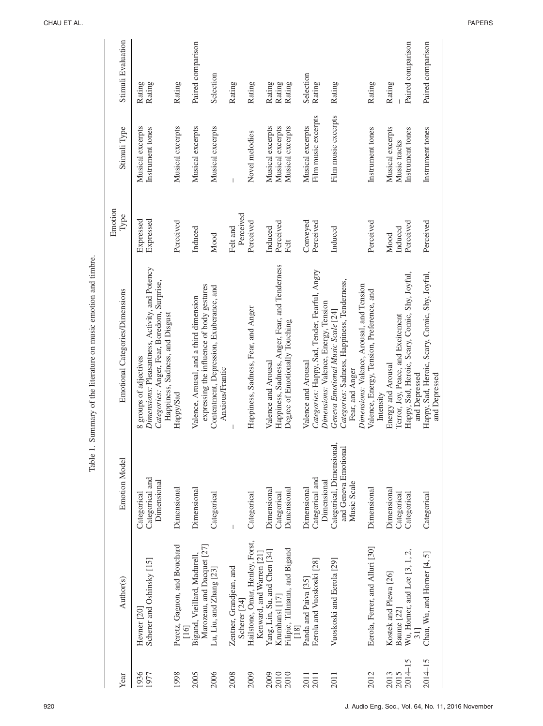| Year         | Author(s)                                                   | <b>Emotion Model</b>                                             | Emotional Categories/Dimensions                                                                                                                             | Emotion<br>Type        | Stimuli Type                         | Stimuli Evaluation |
|--------------|-------------------------------------------------------------|------------------------------------------------------------------|-------------------------------------------------------------------------------------------------------------------------------------------------------------|------------------------|--------------------------------------|--------------------|
| 1936<br>1977 | Scherer and Oshinsky [15]<br>Hevner <sub>[20]</sub>         | Categorical and<br>Dimensional<br>Categorical                    | Dimensions: Pleasantness, Activity, and Potency<br>Categories: Anger, Fear, Boredom, Surprise,<br>Happiness, Sadness, and Disgust<br>8 groups of adjectives | Expressed<br>Expressed | Musical excerpts<br>Instrument tones | Rating<br>Rating   |
| 1998         | Peretz, Gagnon, and Bouchard<br>$\frac{16}{1}$              | Dimensional                                                      | Happy/Sad                                                                                                                                                   | Perceived              | Musical excerpts                     | Rating             |
| 2005         | Marozeau, and Dacquet [27]<br>Bigand, Vieillard, Madurell,  | Dimensional                                                      | expressing the influence of body gestures<br>Valence, Arousal, and a third dimension                                                                        | Induced                | Musical excerpts                     | Paired comparison  |
| 2006         | Lu, Liu, and Zhang [23]                                     | Categorical                                                      | Contentment, Depression, Exuberance, and<br>Anxious/Frantic                                                                                                 | Mood                   | Musical excerpts                     | Selection          |
| 2008         | Zentner, Grandjean, and<br>Scherer <sup>[24]</sup>          | $\begin{array}{c} \hline \end{array}$                            |                                                                                                                                                             | Perceived<br>Felt and  | I                                    | Rating             |
| 2009         | Hailstone, Omar, Henley, Forst,<br>Kenward, and Warren [21] | Categorical                                                      | Happiness, Sadness, Fear, and Anger                                                                                                                         | Perceived              | Novel melodies                       | Rating             |
| 2009<br>2010 | Yang, Lin, Su, and Chen [34]<br>Krumhansl [17]              | Dimensional<br>Categorical                                       | Happiness, Sadness, Anger, Fear, and Tenderness<br>Valence and Arousal                                                                                      | Perceived<br>Induced   | Musical excerpts<br>Musical excerpts | Rating<br>Rating   |
| 2010         | Filipic, Tillmann, and Bigand<br>[18]                       | Dimensional                                                      | Degree of Emotionally Touching                                                                                                                              | Felt                   | Musical excerpts                     | Rating             |
| 2011<br>2011 | Panda and Paiva <sup>[35]</sup>                             | Dimensional                                                      | Valence and Arousal                                                                                                                                         | Conveyed               | Musical excerpts                     | Selection          |
|              | Eerola and Vuoskoski [28]                                   | Categorical and<br>Dimensional                                   | Categories: Happy, Sad, Tender, Fearful, Angry<br>Dimensions: Valence, Energy, Tension                                                                      | Perceived              | Film music excerpts                  | Rating             |
| 2011         | Vuoskoski and Eerola [29]                                   | Categorical, Dimensional,<br>and Geneva Emotional<br>Music Scale | Categories: Sadness, Happiness, Tenderness,<br>Geneva Emotional Music Scale [24]<br>Fear, and Anger                                                         | Induced                | Film music excerpts                  | Rating             |
|              |                                                             |                                                                  | Dimensions: Valence, Arousal, and Tension                                                                                                                   |                        |                                      |                    |
| 2012         | Eerola, Ferrer, and Alluri [30]                             | Dimensional                                                      | Valence, Energy, Tension, Preference, and<br>Intensity                                                                                                      | Perceived              | Instrument tones                     | Rating             |
| 2013         | Kostek and Plewa <sup>[26]</sup>                            | Dimensional                                                      | Energy and Arousal                                                                                                                                          | Mood                   | Musical excerpts                     | Rating             |
| 2015         | Baume [22]                                                  | Categorical                                                      | Terror, Joy, Peace, and Excitement                                                                                                                          | Induced                | Music tracks                         |                    |
| $2014 - 15$  | Wu, Horner, and Lee $[3, 1, 2,$<br>31]                      | Categorical                                                      | Happy, Sad, Heroic, Scary, Comic, Shy, Joyful,<br>and Depressed                                                                                             | Perceived              | Instrument tones                     | Paired comparison  |
| $2014 - 15$  | Chau, Wu, and Horner [4, 5]                                 | Categorical                                                      | Happy, Sad, Heroic, Scary, Comic, Shy, Joyful,<br>and Depressed                                                                                             | Perceived              | Instrument tones                     | Paired comparison  |

CHAU ET AL. PAPERS

Table 1. Summary of the literature on music emotion and timbre.

Table 1. Summary of the literature on music emotion and timbre.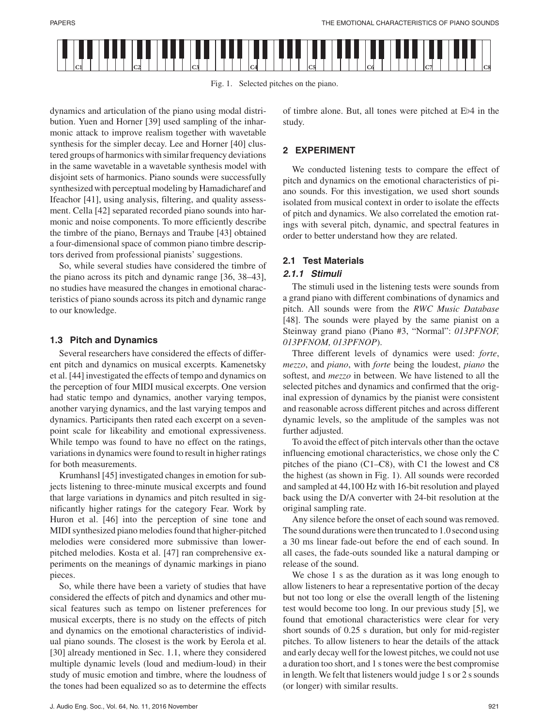



dynamics and articulation of the piano using modal distribution. Yuen and Horner [39] used sampling of the inharmonic attack to improve realism together with wavetable synthesis for the simpler decay. Lee and Horner [40] clustered groups of harmonics with similar frequency deviations in the same wavetable in a wavetable synthesis model with disjoint sets of harmonics. Piano sounds were successfully synthesized with perceptual modeling by Hamadicharef and Ifeachor [41], using analysis, filtering, and quality assessment. Cella [42] separated recorded piano sounds into harmonic and noise components. To more efficiently describe the timbre of the piano, Bernays and Traube [43] obtained a four-dimensional space of common piano timbre descriptors derived from professional pianists' suggestions.

So, while several studies have considered the timbre of the piano across its pitch and dynamic range [36, 38–43], no studies have measured the changes in emotional characteristics of piano sounds across its pitch and dynamic range to our knowledge.

# **1.3 Pitch and Dynamics**

Several researchers have considered the effects of different pitch and dynamics on musical excerpts. Kamenetsky et al. [44] investigated the effects of tempo and dynamics on the perception of four MIDI musical excerpts. One version had static tempo and dynamics, another varying tempos, another varying dynamics, and the last varying tempos and dynamics. Participants then rated each excerpt on a sevenpoint scale for likeability and emotional expressiveness. While tempo was found to have no effect on the ratings, variations in dynamics were found to result in higher ratings for both measurements.

Krumhansl [45] investigated changes in emotion for subjects listening to three-minute musical excerpts and found that large variations in dynamics and pitch resulted in significantly higher ratings for the category Fear. Work by Huron et al. [46] into the perception of sine tone and MIDI synthesized piano melodies found that higher-pitched melodies were considered more submissive than lowerpitched melodies. Kosta et al. [47] ran comprehensive experiments on the meanings of dynamic markings in piano pieces.

So, while there have been a variety of studies that have considered the effects of pitch and dynamics and other musical features such as tempo on listener preferences for musical excerpts, there is no study on the effects of pitch and dynamics on the emotional characteristics of individual piano sounds. The closest is the work by Eerola et al. [30] already mentioned in Sec. 1.1, where they considered multiple dynamic levels (loud and medium-loud) in their study of music emotion and timbre, where the loudness of the tones had been equalized so as to determine the effects

of timbre alone. But, all tones were pitched at Eb4 in the study.

# **2 EXPERIMENT**

We conducted listening tests to compare the effect of pitch and dynamics on the emotional characteristics of piano sounds. For this investigation, we used short sounds isolated from musical context in order to isolate the effects of pitch and dynamics. We also correlated the emotion ratings with several pitch, dynamic, and spectral features in order to better understand how they are related.

# **2.1 Test Materials**

# **2.1.1 Stimuli**

The stimuli used in the listening tests were sounds from a grand piano with different combinations of dynamics and pitch. All sounds were from the *RWC Music Database* [48]. The sounds were played by the same pianist on a Steinway grand piano (Piano #3, "Normal": *013PFNOF, 013PFNOM, 013PFNOP*).

Three different levels of dynamics were used: *forte*, *mezzo*, and *piano*, with *forte* being the loudest, *piano* the softest, and *mezzo* in between. We have listened to all the selected pitches and dynamics and confirmed that the original expression of dynamics by the pianist were consistent and reasonable across different pitches and across different dynamic levels, so the amplitude of the samples was not further adjusted.

To avoid the effect of pitch intervals other than the octave influencing emotional characteristics, we chose only the C pitches of the piano (C1–C8), with C1 the lowest and C8 the highest (as shown in Fig. 1). All sounds were recorded and sampled at 44,100 Hz with 16-bit resolution and played back using the D/A converter with 24-bit resolution at the original sampling rate.

Any silence before the onset of each sound was removed. The sound durations were then truncated to 1.0 second using a 30 ms linear fade-out before the end of each sound. In all cases, the fade-outs sounded like a natural damping or release of the sound.

We chose 1 s as the duration as it was long enough to allow listeners to hear a representative portion of the decay but not too long or else the overall length of the listening test would become too long. In our previous study [5], we found that emotional characteristics were clear for very short sounds of 0.25 s duration, but only for mid-register pitches. To allow listeners to hear the details of the attack and early decay well for the lowest pitches, we could not use a duration too short, and 1 s tones were the best compromise in length. We felt that listeners would judge 1 s or 2 s sounds (or longer) with similar results.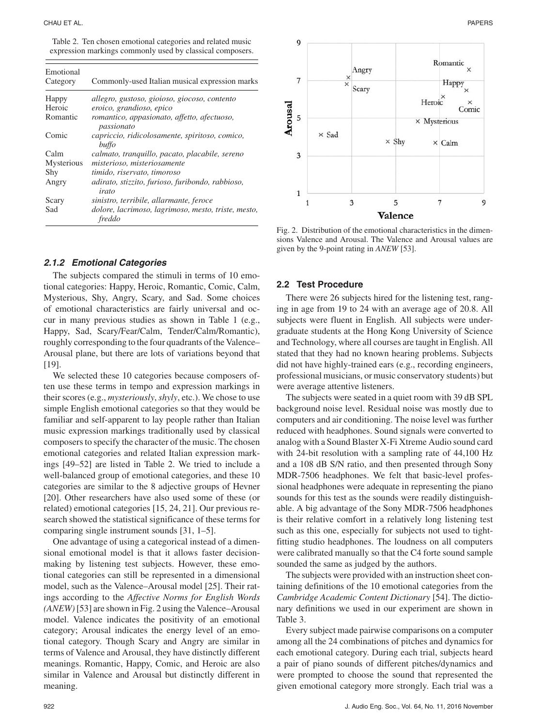|  | Table 2. Ten chosen emotional categories and related music |  |  |
|--|------------------------------------------------------------|--|--|
|  | expression markings commonly used by classical composers.  |  |  |

| Emotional<br>Category | Commonly-used Italian musical expression marks                |
|-----------------------|---------------------------------------------------------------|
|                       |                                                               |
| Happy                 | allegro, gustoso, gioioso, giocoso, contento                  |
| Heroic                | eroico, grandioso, epico                                      |
| Romantic              | romantico, appasionato, affetto, afectuoso,<br>passionato     |
| Comic                 | capriccio, ridicolosamente, spiritoso, comico,<br>buffo       |
| Calm                  | calmato, tranquillo, pacato, placabile, sereno                |
| Mysterious            | misterioso, misteriosamente                                   |
| Shy                   | timido, riservato, timoroso                                   |
| Angry                 | adirato, stizzito, furioso, furibondo, rabbioso,<br>irato     |
| Scary                 | sinistro, terribile, allarmante, feroce                       |
| Sad                   | dolore, lacrimoso, lagrimoso, mesto, triste, mesto,<br>freddo |

#### **2.1.2 Emotional Categories**

The subjects compared the stimuli in terms of 10 emotional categories: Happy, Heroic, Romantic, Comic, Calm, Mysterious, Shy, Angry, Scary, and Sad. Some choices of emotional characteristics are fairly universal and occur in many previous studies as shown in Table 1 (e.g., Happy, Sad, Scary/Fear/Calm, Tender/Calm/Romantic), roughly corresponding to the four quadrants of the Valence– Arousal plane, but there are lots of variations beyond that [19].

We selected these 10 categories because composers often use these terms in tempo and expression markings in their scores (e.g., *mysteriously*,*shyly*, etc.). We chose to use simple English emotional categories so that they would be familiar and self-apparent to lay people rather than Italian music expression markings traditionally used by classical composers to specify the character of the music. The chosen emotional categories and related Italian expression markings [49–52] are listed in Table 2. We tried to include a well-balanced group of emotional categories, and these 10 categories are similar to the 8 adjective groups of Hevner [20]. Other researchers have also used some of these (or related) emotional categories [15, 24, 21]. Our previous research showed the statistical significance of these terms for comparing single instrument sounds [31, 1–5].

One advantage of using a categorical instead of a dimensional emotional model is that it allows faster decisionmaking by listening test subjects. However, these emotional categories can still be represented in a dimensional model, such as the Valence–Arousal model [25]. Their ratings according to the *Affective Norms for English Words (ANEW)*[53] are shown in Fig. 2 using the Valence–Arousal model. Valence indicates the positivity of an emotional category; Arousal indicates the energy level of an emotional category. Though Scary and Angry are similar in terms of Valence and Arousal, they have distinctly different meanings. Romantic, Happy, Comic, and Heroic are also similar in Valence and Arousal but distinctly different in meaning.



Fig. 2. Distribution of the emotional characteristics in the dimensions Valence and Arousal. The Valence and Arousal values are given by the 9-point rating in *ANEW* [53].

#### **2.2 Test Procedure**

There were 26 subjects hired for the listening test, ranging in age from 19 to 24 with an average age of 20.8. All subjects were fluent in English. All subjects were undergraduate students at the Hong Kong University of Science and Technology, where all courses are taught in English. All stated that they had no known hearing problems. Subjects did not have highly-trained ears (e.g., recording engineers, professional musicians, or music conservatory students) but were average attentive listeners.

The subjects were seated in a quiet room with 39 dB SPL background noise level. Residual noise was mostly due to computers and air conditioning. The noise level was further reduced with headphones. Sound signals were converted to analog with a Sound Blaster X-Fi Xtreme Audio sound card with 24-bit resolution with a sampling rate of 44,100 Hz and a 108 dB S/N ratio, and then presented through Sony MDR-7506 headphones. We felt that basic-level professional headphones were adequate in representing the piano sounds for this test as the sounds were readily distinguishable. A big advantage of the Sony MDR-7506 headphones is their relative comfort in a relatively long listening test such as this one, especially for subjects not used to tightfitting studio headphones. The loudness on all computers were calibrated manually so that the C4 forte sound sample sounded the same as judged by the authors.

The subjects were provided with an instruction sheet containing definitions of the 10 emotional categories from the *Cambridge Academic Content Dictionary* [54]. The dictionary definitions we used in our experiment are shown in Table 3.

Every subject made pairwise comparisons on a computer among all the 24 combinations of pitches and dynamics for each emotional category. During each trial, subjects heard a pair of piano sounds of different pitches/dynamics and were prompted to choose the sound that represented the given emotional category more strongly. Each trial was a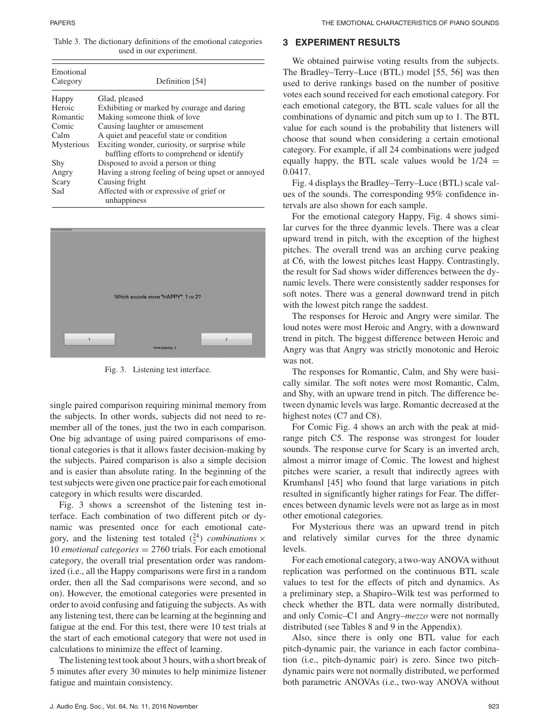Table 3. The dictionary definitions of the emotional categories used in our experiment.

| Emotional<br>Category | Definition [54]                                                                             |
|-----------------------|---------------------------------------------------------------------------------------------|
| Happy                 | Glad, pleased                                                                               |
| Heroic                | Exhibiting or marked by courage and daring                                                  |
| Romantic              | Making someone think of love                                                                |
| Comic                 | Causing laughter or amusement                                                               |
| Calm                  | A quiet and peaceful state or condition                                                     |
| <b>Mysterious</b>     | Exciting wonder, curiosity, or surprise while<br>baffling efforts to comprehend or identify |
| Shy                   | Disposed to avoid a person or thing                                                         |
| Angry                 | Having a strong feeling of being upset or annoyed                                           |
| Scary                 | Causing fright                                                                              |
| Sad                   | Affected with or expressive of grief or<br>unhappiness                                      |



Fig. 3. Listening test interface.

single paired comparison requiring minimal memory from the subjects. In other words, subjects did not need to remember all of the tones, just the two in each comparison. One big advantage of using paired comparisons of emotional categories is that it allows faster decision-making by the subjects. Paired comparison is also a simple decision and is easier than absolute rating. In the beginning of the test subjects were given one practice pair for each emotional category in which results were discarded.

Fig. 3 shows a screenshot of the listening test interface. Each combination of two different pitch or dynamic was presented once for each emotional category, and the listening test totaled  $\binom{24}{2}$  *combinations* × 10 *emotional categories* = 2760 trials. For each emotional category, the overall trial presentation order was randomized (i.e., all the Happy comparisons were first in a random order, then all the Sad comparisons were second, and so on). However, the emotional categories were presented in order to avoid confusing and fatiguing the subjects. As with any listening test, there can be learning at the beginning and fatigue at the end. For this test, there were 10 test trials at the start of each emotional category that were not used in calculations to minimize the effect of learning.

The listening test took about 3 hours, with a short break of 5 minutes after every 30 minutes to help minimize listener fatigue and maintain consistency.

#### **3 EXPERIMENT RESULTS**

We obtained pairwise voting results from the subjects. The Bradley–Terry–Luce (BTL) model [55, 56] was then used to derive rankings based on the number of positive votes each sound received for each emotional category. For each emotional category, the BTL scale values for all the combinations of dynamic and pitch sum up to 1. The BTL value for each sound is the probability that listeners will choose that sound when considering a certain emotional category. For example, if all 24 combinations were judged equally happy, the BTL scale values would be  $1/24 =$ 0.0417.

Fig. 4 displays the Bradley–Terry–Luce (BTL) scale values of the sounds. The corresponding 95% confidence intervals are also shown for each sample.

For the emotional category Happy, Fig. 4 shows similar curves for the three dyanmic levels. There was a clear upward trend in pitch, with the exception of the highest pitches. The overall trend was an arching curve peaking at C6, with the lowest pitches least Happy. Contrastingly, the result for Sad shows wider differences between the dynamic levels. There were consistently sadder responses for soft notes. There was a general downward trend in pitch with the lowest pitch range the saddest.

The responses for Heroic and Angry were similar. The loud notes were most Heroic and Angry, with a downward trend in pitch. The biggest difference between Heroic and Angry was that Angry was strictly monotonic and Heroic was not.

The responses for Romantic, Calm, and Shy were basically similar. The soft notes were most Romantic, Calm, and Shy, with an upware trend in pitch. The difference between dynamic levels was large. Romantic decreased at the highest notes (C7 and C8).

For Comic Fig. 4 shows an arch with the peak at midrange pitch C5. The response was strongest for louder sounds. The response curve for Scary is an inverted arch, almost a mirror image of Comic. The lowest and highest pitches were scarier, a result that indirectly agrees with Krumhansl [45] who found that large variations in pitch resulted in significantly higher ratings for Fear. The differences between dynamic levels were not as large as in most other emotional categories.

For Mysterious there was an upward trend in pitch and relatively similar curves for the three dynamic levels.

For each emotional category, a two-way ANOVA without replication was performed on the continuous BTL scale values to test for the effects of pitch and dynamics. As a preliminary step, a Shapiro–Wilk test was performed to check whether the BTL data were normally distributed, and only Comic–C1 and Angry–*mezzo* were not normally distributed (see Tables 8 and 9 in the Appendix).

Also, since there is only one BTL value for each pitch-dynamic pair, the variance in each factor combination (i.e., pitch-dynamic pair) is zero. Since two pitchdynamic pairs were not normally distributed, we performed both parametric ANOVAs (i.e., two-way ANOVA without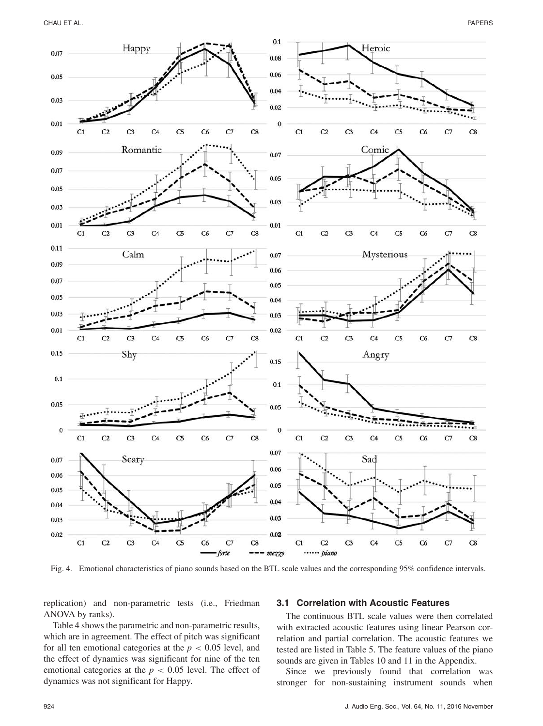CHAU ET AL. PAPERS



Fig. 4. Emotional characteristics of piano sounds based on the BTL scale values and the corresponding 95% confidence intervals.

replication) and non-parametric tests (i.e., Friedman ANOVA by ranks).

Table 4 shows the parametric and non-parametric results, which are in agreement. The effect of pitch was significant for all ten emotional categories at the  $p < 0.05$  level, and the effect of dynamics was significant for nine of the ten emotional categories at the  $p < 0.05$  level. The effect of dynamics was not significant for Happy.

#### **3.1 Correlation with Acoustic Features**

The continuous BTL scale values were then correlated with extracted acoustic features using linear Pearson correlation and partial correlation. The acoustic features we tested are listed in Table 5. The feature values of the piano sounds are given in Tables 10 and 11 in the Appendix.

Since we previously found that correlation was stronger for non-sustaining instrument sounds when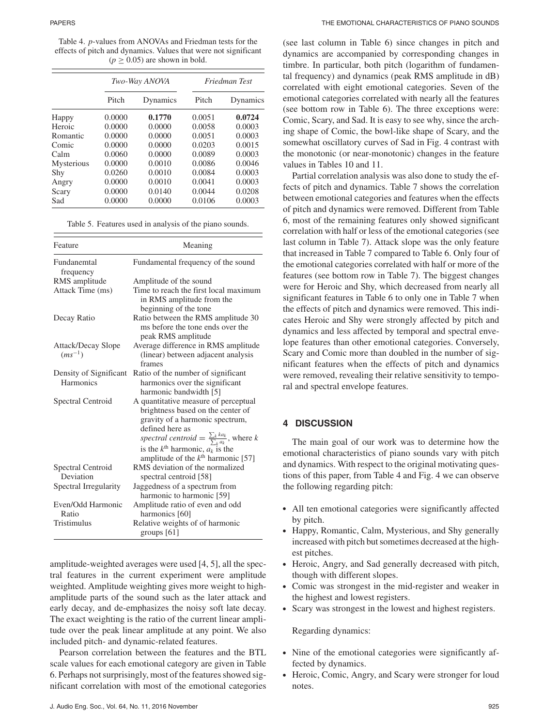Table 4. *p*-values from ANOVAs and Friedman tests for the effects of pitch and dynamics. Values that were not significant  $(p \ge 0.05)$  are shown in bold.

|            |        | Two-Way ANOVA |        | Friedman Test |
|------------|--------|---------------|--------|---------------|
|            | Pitch  | Dynamics      | Pitch  | Dynamics      |
| Happy      | 0.0000 | 0.1770        | 0.0051 | 0.0724        |
| Heroic     | 0.0000 | 0.0000        | 0.0058 | 0.0003        |
| Romantic   | 0.0000 | 0.0000        | 0.0051 | 0.0003        |
| Comic      | 0.0000 | 0.0000        | 0.0203 | 0.0015        |
| Calm       | 0.0060 | 0.0000        | 0.0089 | 0.0003        |
| Mysterious | 0.0000 | 0.0010        | 0.0086 | 0.0046        |
| Shy        | 0.0260 | 0.0010        | 0.0084 | 0.0003        |
| Angry      | 0.0000 | 0.0010        | 0.0041 | 0.0003        |
| Scary      | 0.0000 | 0.0140        | 0.0044 | 0.0208        |
| Sad        | 0.0000 | 0.0000        | 0.0106 | 0.0003        |

Table 5. Features used in analysis of the piano sounds.

| Feature                             | Meaning                                                                                                                                                                                                                                                                                                  |
|-------------------------------------|----------------------------------------------------------------------------------------------------------------------------------------------------------------------------------------------------------------------------------------------------------------------------------------------------------|
| Fundanemtal<br>frequency            | Fundamental frequency of the sound                                                                                                                                                                                                                                                                       |
| RMS amplitude                       | Amplitude of the sound                                                                                                                                                                                                                                                                                   |
| Attack Time (ms)                    | Time to reach the first local maximum<br>in RMS amplitude from the<br>beginning of the tone                                                                                                                                                                                                              |
| Decay Ratio                         | Ratio between the RMS amplitude 30<br>ms before the tone ends over the<br>peak RMS amplitude                                                                                                                                                                                                             |
| Attack/Decay Slope<br>$(ms^{-1})$   | Average difference in RMS amplitude<br>(linear) between adjacent analysis<br>frames                                                                                                                                                                                                                      |
| Density of Significant<br>Harmonics | Ratio of the number of significant<br>harmonics over the significant<br>harmonic bandwidth [5]                                                                                                                                                                                                           |
| Spectral Centroid                   | A quantitative measure of perceptual<br>brightness based on the center of<br>gravity of a harmonic spectrum,<br>defined here as<br>spectral centroid = $\frac{\sum_{k} ka_k}{\sum_{k} a_k}$ , where k<br>is the $k^{\text{th}}$ harmonic, $a_k$ is the<br>amplitude of the $k^{\text{th}}$ harmonic [57] |
| Spectral Centroid<br>Deviation      | RMS deviation of the normalized<br>spectral centroid [58]                                                                                                                                                                                                                                                |
| Spectral Irregularity               | Jaggedness of a spectrum from<br>harmonic to harmonic [59]                                                                                                                                                                                                                                               |
| Even/Odd Harmonic<br>Ratio          | Amplitude ratio of even and odd<br>harmonics [60]                                                                                                                                                                                                                                                        |
| Tristimulus                         | Relative weights of of harmonic<br>groups $[61]$                                                                                                                                                                                                                                                         |

amplitude-weighted averages were used [4, 5], all the spectral features in the current experiment were amplitude weighted. Amplitude weighting gives more weight to highamplitude parts of the sound such as the later attack and early decay, and de-emphasizes the noisy soft late decay. The exact weighting is the ratio of the current linear amplitude over the peak linear amplitude at any point. We also included pitch- and dynamic-related features.

Pearson correlation between the features and the BTL scale values for each emotional category are given in Table 6. Perhaps not surprisingly, most of the features showed significant correlation with most of the emotional categories (see last column in Table 6) since changes in pitch and dynamics are accompanied by corresponding changes in timbre. In particular, both pitch (logarithm of fundamental frequency) and dynamics (peak RMS amplitude in dB) correlated with eight emotional categories. Seven of the emotional categories correlated with nearly all the features (see bottom row in Table 6). The three exceptions were: Comic, Scary, and Sad. It is easy to see why, since the arching shape of Comic, the bowl-like shape of Scary, and the somewhat oscillatory curves of Sad in Fig. 4 contrast with the monotonic (or near-monotonic) changes in the feature values in Tables 10 and 11.

Partial correlation analysis was also done to study the effects of pitch and dynamics. Table 7 shows the correlation between emotional categories and features when the effects of pitch and dynamics were removed. Different from Table 6, most of the remaining features only showed significant correlation with half or less of the emotional categories (see last column in Table 7). Attack slope was the only feature that increased in Table 7 compared to Table 6. Only four of the emotional categories correlated with half or more of the features (see bottom row in Table 7). The biggest changes were for Heroic and Shy, which decreased from nearly all significant features in Table 6 to only one in Table 7 when the effects of pitch and dynamics were removed. This indicates Heroic and Shy were strongly affected by pitch and dynamics and less affected by temporal and spectral envelope features than other emotional categories. Conversely, Scary and Comic more than doubled in the number of significant features when the effects of pitch and dynamics were removed, revealing their relative sensitivity to temporal and spectral envelope features.

# **4 DISCUSSION**

The main goal of our work was to determine how the emotional characteristics of piano sounds vary with pitch and dynamics. With respect to the original motivating questions of this paper, from Table 4 and Fig. 4 we can observe the following regarding pitch:

- All ten emotional categories were significantly affected by pitch.
- Happy, Romantic, Calm, Mysterious, and Shy generally increased with pitch but sometimes decreased at the highest pitches.
- Heroic, Angry, and Sad generally decreased with pitch, though with different slopes.
- Comic was strongest in the mid-register and weaker in the highest and lowest registers.
- Scary was strongest in the lowest and highest registers.

Regarding dynamics:

- Nine of the emotional categories were significantly affected by dynamics.
- Heroic, Comic, Angry, and Scary were stronger for loud notes.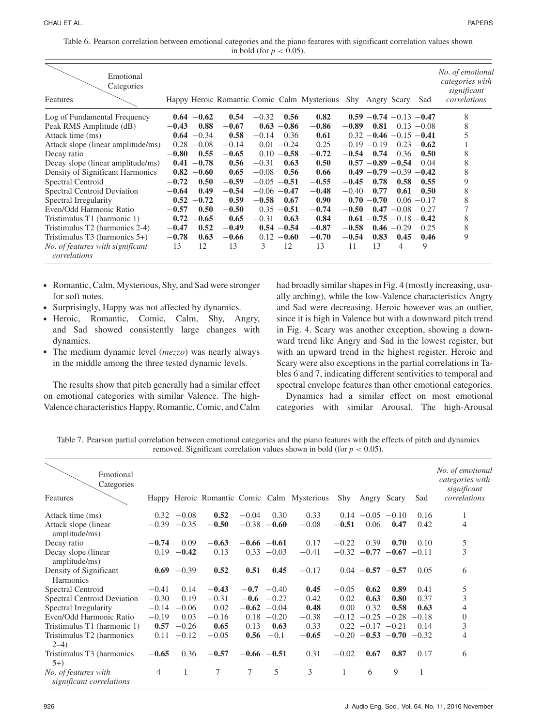| Table 6. Pearson correlation between emotional categories and the piano features with significant correlation values shown |  |
|----------------------------------------------------------------------------------------------------------------------------|--|
| in bold (for $p < 0.05$ ).                                                                                                 |  |

| Emotional<br>Categories                          |         |               |         |         |                |                                                             |         |                             |               |               | No. of emotional<br>categories with<br>significant |
|--------------------------------------------------|---------|---------------|---------|---------|----------------|-------------------------------------------------------------|---------|-----------------------------|---------------|---------------|----------------------------------------------------|
| Features                                         |         |               |         |         |                | Happy Heroic Romantic Comic Calm Mysterious Shy Angry Scary |         |                             |               | Sad           | correlations                                       |
| Log of Fundamental Frequency                     |         | $0.64 - 0.62$ | 0.54    | $-0.32$ | 0.56           | 0.82                                                        |         | $0.59 - 0.74 - 0.13 - 0.47$ |               |               | 8                                                  |
| Peak RMS Amplitude (dB)                          | $-0.43$ | 0.88          | $-0.67$ | 0.63    | $-0.86$        | $-0.86$                                                     | $-0.89$ | 0.81                        | 0.13          | $-0.08$       | 8                                                  |
| Attack time (ms)                                 | 0.64    | $-0.34$       | 0.58    | $-0.14$ | 0.36           | 0.61                                                        |         | $0.32 - 0.46 - 0.15 - 0.41$ |               |               |                                                    |
| Attack slope (linear amplitude/ms)               | 0.28    | $-0.08$       | $-0.14$ |         | $0.01 - 0.24$  | 0.25                                                        |         | $-0.19 - 0.19$              | 0.23          | $-0.62$       |                                                    |
| Decay ratio                                      | $-0.80$ | 0.55          | $-0.65$ | 0.10    | $-0.58$        | $-0.72$                                                     | $-0.54$ | 0.74                        | 0.36          | 0.50          | 8                                                  |
| Decay slope (linear amplitude/ms)                | 0.41    | $-0.78$       | 0.56    | $-0.31$ | 0.63           | 0.50                                                        |         | $0.57 - 0.89$               | $-0.54$       | 0.04          | 8                                                  |
| Density of Significant Harmonics                 | 0.82    | $-0.60$       | 0.65    | $-0.08$ | 0.56           | 0.66                                                        |         | $0.49 - 0.79 - 0.39$        |               | $-0.42$       | 8                                                  |
| Spectral Centroid                                | $-0.72$ | 0.50          | $-0.59$ | $-0.05$ | $-0.51$        | $-0.55$                                                     | $-0.45$ | 0.78                        | 0.58          | 0.55          | 9                                                  |
| Spectral Centroid Deviation                      | $-0.64$ | 0.49          | $-0.54$ |         | $-0.06 - 0.47$ | $-0.48$                                                     | $-0.40$ | 0.77                        | 0.61          | 0.50          | 8                                                  |
| Spectral Irregularity                            | 0.52    | $-0.72$       | 0.59    | $-0.58$ | 0.67           | 0.90                                                        | 0.70    | $-0.70$                     |               | $0.06 - 0.17$ | 8                                                  |
| Even/Odd Harmonic Ratio                          | $-0.57$ | 0.50          | $-0.50$ | 0.35    | $-0.51$        | $-0.74$                                                     | $-0.50$ | 0.47                        | $-0.08$       | 0.27          | 7                                                  |
| Tristimulus T1 (harmonic 1)                      | 0.72    | $-0.65$       | 0.65    | $-0.31$ | 0.63           | 0.84                                                        |         | $0.61 - 0.75 - 0.18$        |               | $-0.42$       | 8                                                  |
| Tristimulus T2 (harmonics 2-4)                   | $-0.47$ | 0.52          | $-0.49$ |         | $0.54 - 0.54$  | $-0.87$                                                     | $-0.58$ |                             | $0.46 - 0.29$ | 0.25          | 8                                                  |
| Tristimulus $T3$ (harmonics $5+$ )               | $-0.78$ | 0.63          | $-0.66$ | 0.12    | $-0.60$        | $-0.70$                                                     | $-0.54$ | 0.83                        | 0.45          | 0.46          | 9                                                  |
| No. of features with significant<br>correlations | 13      | 12            | 13      | 3       | 12             | 13                                                          | 11      | 13                          | 4             | 9             |                                                    |

- Romantic, Calm, Mysterious, Shy, and Sad were stronger for soft notes.
- Surprisingly, Happy was not affected by dynamics.
- Heroic, Romantic, Comic, Calm, Shy, Angry, and Sad showed consistently large changes with dynamics.
- The medium dynamic level (*mezzo*) was nearly always in the middle among the three tested dynamic levels.

The results show that pitch generally had a similar effect on emotional categories with similar Valence. The high-Valence characteristics Happy, Romantic, Comic, and Calm had broadly similar shapes in Fig. 4 (mostly increasing, usually arching), while the low-Valence characteristics Angry and Sad were decreasing. Heroic however was an outlier, since it is high in Valence but with a downward pitch trend in Fig. 4. Scary was another exception, showing a downward trend like Angry and Sad in the lowest register, but with an upward trend in the highest register. Heroic and Scary were also exceptions in the partial correlations in Tables 6 and 7, indicating different sentivities to temporal and spectral envelope features than other emotional categories.

Dynamics had a similar effect on most emotional categories with similar Arousal. The high-Arousal

Table 7. Pearson partial correlation between emotional categories and the piano features with the effects of pitch and dynamics removed. Significant correlation values shown in bold (for  $p < 0.05$ ).

| Emotional<br>Categories<br>Features              |                |               |         |         |                | Happy Heroic Romantic Comic Calm Mysterious | Shy     | Angry Scary          |                                 | Sad     | No. of emotional<br>categories with<br>significant<br>correlations |
|--------------------------------------------------|----------------|---------------|---------|---------|----------------|---------------------------------------------|---------|----------------------|---------------------------------|---------|--------------------------------------------------------------------|
|                                                  |                | $-0.08$       | 0.52    | $-0.04$ | 0.30           | 0.33                                        |         | $0.14 - 0.05 - 0.10$ |                                 | 0.16    |                                                                    |
| Attack time (ms)                                 | 0.32           |               |         |         |                |                                             |         |                      |                                 |         |                                                                    |
| Attack slope (linear)<br>amplitude/ms)           |                | $-0.39 -0.35$ | $-0.50$ | $-0.38$ | $-0.60$        | $-0.08$                                     | $-0.51$ | 0.06                 | 0.47                            | 0.42    | 4                                                                  |
| Decay ratio                                      | $-0.74$        | 0.09          | $-0.63$ |         | $-0.66 - 0.61$ | 0.17                                        | $-0.22$ | 0.39                 | 0.70                            | 0.10    | 5                                                                  |
| Decay slope (linear<br>amplitude/ms)             |                | $0.19 -0.42$  | 0.13    |         | $0.33 - 0.03$  | $-0.41$                                     |         |                      | $-0.32$ $-0.77$ $-0.67$ $-0.11$ |         | $\overline{3}$                                                     |
| Density of Significant<br><b>Harmonics</b>       |                | $0.69 - 0.39$ | 0.52    | 0.51    | 0.45           | $-0.17$                                     |         | $0.04 -0.57 -0.57$   |                                 | 0.05    | 6                                                                  |
| Spectral Centroid                                | $-0.41$        | 0.14          | $-0.43$ |         | $-0.7 -0.40$   | 0.45                                        | $-0.05$ | 0.62                 | 0.89                            | 0.41    | 5                                                                  |
| Spectral Centroid Deviation                      | $-0.30$        | 0.19          | $-0.31$ |         | $-0.6$ $-0.27$ | 0.42                                        | 0.02    | 0.63                 | 0.80                            | 0.37    | 3                                                                  |
| Spectral Irregularity                            | $-0.14$        | $-0.06$       | 0.02    |         | $-0.62 -0.04$  | 0.48                                        | 0.00    | 0.32                 | 0.58                            | 0.63    | 4                                                                  |
| Even/Odd Harmonic Ratio                          | $-0.19$        | 0.03          | $-0.16$ |         | $0.18 - 0.20$  | $-0.38$                                     |         |                      | $-0.12$ $-0.25$ $-0.28$         | $-0.18$ | $\mathbf{0}$                                                       |
| Tristimulus T1 (harmonic 1)                      | 0.57           | $-0.26$       | 0.65    | 0.13    | 0.63           | 0.33                                        |         | $0.22 -0.17 -0.21$   |                                 | 0.14    | 3                                                                  |
| Tristimulus T2 (harmonics<br>$2-4)$              | 0.11           | $-0.12$       | $-0.05$ | 0.56    | $-0.1$         | $-0.65$                                     |         |                      | $-0.20$ $-0.53$ $-0.70$ $-0.32$ |         | 4                                                                  |
| Tristimulus T3 (harmonics<br>$5+$                | $-0.65$        | 0.36          | $-0.57$ |         | $-0.66 - 0.51$ | 0.31                                        | $-0.02$ | 0.67                 | 0.87                            | 0.17    | 6                                                                  |
| No. of features with<br>significant correlations | $\overline{4}$ | 1             | $\tau$  | 7       | 5              | 3                                           | 1       | 6                    | 9                               |         |                                                                    |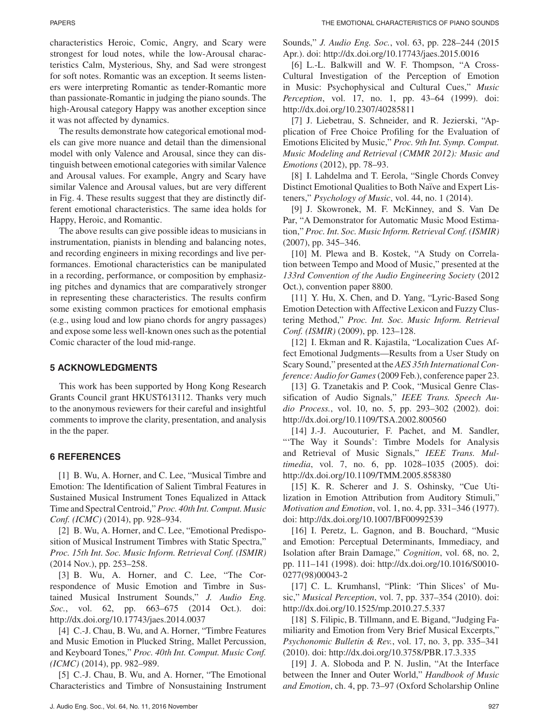characteristics Heroic, Comic, Angry, and Scary were strongest for loud notes, while the low-Arousal characteristics Calm, Mysterious, Shy, and Sad were strongest for soft notes. Romantic was an exception. It seems listeners were interpreting Romantic as tender-Romantic more than passionate-Romantic in judging the piano sounds. The high-Arousal category Happy was another exception since it was not affected by dynamics.

The results demonstrate how categorical emotional models can give more nuance and detail than the dimensional model with only Valence and Arousal, since they can distinguish between emotional categories with similar Valence and Arousal values. For example, Angry and Scary have similar Valence and Arousal values, but are very different in Fig. 4. These results suggest that they are distinctly different emotional characteristics. The same idea holds for Happy, Heroic, and Romantic.

The above results can give possible ideas to musicians in instrumentation, pianists in blending and balancing notes, and recording engineers in mixing recordings and live performances. Emotional characteristics can be manipulated in a recording, performance, or composition by emphasizing pitches and dynamics that are comparatively stronger in representing these characteristics. The results confirm some existing common practices for emotional emphasis (e.g., using loud and low piano chords for angry passages) and expose some less well-known ones such as the potential Comic character of the loud mid-range.

# **5 ACKNOWLEDGMENTS**

This work has been supported by Hong Kong Research Grants Council grant HKUST613112. Thanks very much to the anonymous reviewers for their careful and insightful comments to improve the clarity, presentation, and analysis in the the paper.

# **6 REFERENCES**

[1] B. Wu, A. Horner, and C. Lee, "Musical Timbre and Emotion: The Identification of Salient Timbral Features in Sustained Musical Instrument Tones Equalized in Attack Time and Spectral Centroid," *Proc. 40th Int. Comput. Music Conf. (ICMC)* (2014), pp. 928–934.

[2] B. Wu, A. Horner, and C. Lee, "Emotional Predisposition of Musical Instrument Timbres with Static Spectra," *Proc. 15th Int. Soc. Music Inform. Retrieval Conf. (ISMIR)* (2014 Nov.), pp. 253–258.

[3] B. Wu, A. Horner, and C. Lee, "The Correspondence of Music Emotion and Timbre in Sustained Musical Instrument Sounds," *J. Audio Eng. Soc.*, vol. 62, pp. 663–675 (2014 Oct.). doi: http://dx.doi.org/10.17743/jaes.2014.0037

[4] C.-J. Chau, B. Wu, and A. Horner, "Timbre Features and Music Emotion in Plucked String, Mallet Percussion, and Keyboard Tones," *Proc. 40th Int. Comput. Music Conf. (ICMC)* (2014), pp. 982–989.

[5] C.-J. Chau, B. Wu, and A. Horner, "The Emotional Characteristics and Timbre of Nonsustaining Instrument

Sounds," *J. Audio Eng. Soc.*, vol. 63, pp. 228–244 (2015 Apr.). doi: http://dx.doi.org/10.17743/jaes.2015.0016

[6] L.-L. Balkwill and W. F. Thompson, "A Cross-Cultural Investigation of the Perception of Emotion in Music: Psychophysical and Cultural Cues," *Music Perception*, vol. 17, no. 1, pp. 43–64 (1999). doi: http://dx.doi.org/10.2307/40285811

[7] J. Liebetrau, S. Schneider, and R. Jezierski, "Application of Free Choice Profiling for the Evaluation of Emotions Elicited by Music," *Proc. 9th Int. Symp. Comput. Music Modeling and Retrieval (CMMR 2012): Music and Emotions* (2012), pp. 78–93.

[8] I. Lahdelma and T. Eerola, "Single Chords Convey Distinct Emotional Qualities to Both Naïve and Expert Listeners," *Psychology of Music*, vol. 44, no. 1 (2014).

[9] J. Skowronek, M. F. McKinney, and S. Van De Par, "A Demonstrator for Automatic Music Mood Estimation," *Proc. Int. Soc. Music Inform. Retrieval Conf. (ISMIR)* (2007), pp. 345–346.

[10] M. Plewa and B. Kostek, "A Study on Correlation between Tempo and Mood of Music," presented at the *133rd Convention of the Audio Engineering Society* (2012 Oct.), convention paper 8800.

[11] Y. Hu, X. Chen, and D. Yang, "Lyric-Based Song Emotion Detection with Affective Lexicon and Fuzzy Clustering Method," *Proc. Int. Soc. Music Inform. Retrieval Conf. (ISMIR)* (2009), pp. 123–128.

[12] I. Ekman and R. Kajastila, "Localization Cues Affect Emotional Judgments—Results from a User Study on Scary Sound," presented at the *AES 35th International Conference: Audio for Games*(2009 Feb.), conference paper 23.

[13] G. Tzanetakis and P. Cook, "Musical Genre Classification of Audio Signals," *IEEE Trans. Speech Audio Process.*, vol. 10, no. 5, pp. 293–302 (2002). doi: http://dx.doi.org/10.1109/TSA.2002.800560

[14] J.-J. Aucouturier, F. Pachet, and M. Sandler, "The Way it Sounds': Timbre Models for Analysis and Retrieval of Music Signals," *IEEE Trans. Multimedia*, vol. 7, no. 6, pp. 1028–1035 (2005). doi: http://dx.doi.org/10.1109/TMM.2005.858380

[15] K. R. Scherer and J. S. Oshinsky, "Cue Utilization in Emotion Attribution from Auditory Stimuli," *Motivation and Emotion*, vol. 1, no. 4, pp. 331–346 (1977). doi: http://dx.doi.org/10.1007/BF00992539

[16] I. Peretz, L. Gagnon, and B. Bouchard, "Music and Emotion: Perceptual Determinants, Immediacy, and Isolation after Brain Damage," *Cognition*, vol. 68, no. 2, pp. 111–141 (1998). doi: http://dx.doi.org/10.1016/S0010- 0277(98)00043-2

[17] C. L. Krumhansl, "Plink: 'Thin Slices' of Music," *Musical Perception*, vol. 7, pp. 337–354 (2010). doi: http://dx.doi.org/10.1525/mp.2010.27.5.337

[18] S. Filipic, B. Tillmann, and E. Bigand, "Judging Familiarity and Emotion from Very Brief Musical Excerpts," *Psychonomic Bulletin & Rev.*, vol. 17, no. 3, pp. 335–341 (2010). doi: http://dx.doi.org/10.3758/PBR.17.3.335

[19] J. A. Sloboda and P. N. Juslin, "At the Interface between the Inner and Outer World," *Handbook of Music and Emotion*, ch. 4, pp. 73–97 (Oxford Scholarship Online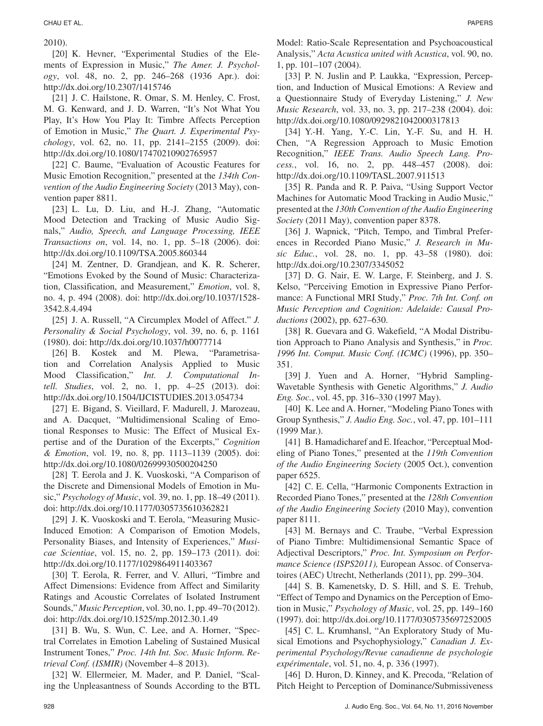2010).

[20] K. Hevner, "Experimental Studies of the Elements of Expression in Music," *The Amer. J. Psychology*, vol. 48, no. 2, pp. 246–268 (1936 Apr.). doi: http://dx.doi.org/10.2307/1415746

[21] J. C. Hailstone, R. Omar, S. M. Henley, C. Frost, M. G. Kenward, and J. D. Warren, "It's Not What You Play, It's How You Play It: Timbre Affects Perception of Emotion in Music," *The Quart. J. Experimental Psychology*, vol. 62, no. 11, pp. 2141–2155 (2009). doi: http://dx.doi.org/10.1080/17470210902765957

[22] C. Baume, "Evaluation of Acoustic Features for Music Emotion Recognition," presented at the *134th Convention of the Audio Engineering Society* (2013 May), convention paper 8811.

[23] L. Lu, D. Liu, and H.-J. Zhang, "Automatic Mood Detection and Tracking of Music Audio Signals," *Audio, Speech, and Language Processing, IEEE Transactions on*, vol. 14, no. 1, pp. 5–18 (2006). doi: http://dx.doi.org/10.1109/TSA.2005.860344

[24] M. Zentner, D. Grandjean, and K. R. Scherer, "Emotions Evoked by the Sound of Music: Characterization, Classification, and Measurement," *Emotion*, vol. 8, no. 4, p. 494 (2008). doi: http://dx.doi.org/10.1037/1528- 3542.8.4.494

[25] J. A. Russell, "A Circumplex Model of Affect." *J. Personality & Social Psychology*, vol. 39, no. 6, p. 1161 (1980). doi: http://dx.doi.org/10.1037/h0077714

[26] B. Kostek and M. Plewa, "Parametrisation and Correlation Analysis Applied to Music Mood Classification," *Int. J. Computational Intell. Studies*, vol. 2, no. 1, pp. 4–25 (2013). doi: http://dx.doi.org/10.1504/IJCISTUDIES.2013.054734

[27] E. Bigand, S. Vieillard, F. Madurell, J. Marozeau, and A. Dacquet, "Multidimensional Scaling of Emotional Responses to Music: The Effect of Musical Expertise and of the Duration of the Excerpts," *Cognition & Emotion*, vol. 19, no. 8, pp. 1113–1139 (2005). doi: http://dx.doi.org/10.1080/02699930500204250

[28] T. Eerola and J. K. Vuoskoski, "A Comparison of the Discrete and Dimensional Models of Emotion in Music," *Psychology of Music*, vol. 39, no. 1, pp. 18–49 (2011). doi: http://dx.doi.org/10.1177/0305735610362821

[29] J. K. Vuoskoski and T. Eerola, "Measuring Music-Induced Emotion: A Comparison of Emotion Models, Personality Biases, and Intensity of Experiences," *Musicae Scientiae*, vol. 15, no. 2, pp. 159–173 (2011). doi: http://dx.doi.org/10.1177/1029864911403367

[30] T. Eerola, R. Ferrer, and V. Alluri, "Timbre and Affect Dimensions: Evidence from Affect and Similarity Ratings and Acoustic Correlates of Isolated Instrument Sounds," *Music Perception*, vol. 30, no. 1, pp. 49–70 (2012). doi: http://dx.doi.org/10.1525/mp.2012.30.1.49

[31] B. Wu, S. Wun, C. Lee, and A. Horner, "Spectral Correlates in Emotion Labeling of Sustained Musical Instrument Tones," *Proc. 14th Int. Soc. Music Inform. Retrieval Conf. (ISMIR)* (November 4–8 2013).

[32] W. Ellermeier, M. Mader, and P. Daniel, "Scaling the Unpleasantness of Sounds According to the BTL

Model: Ratio-Scale Representation and Psychoacoustical Analysis," *Acta Acustica united with Acustica*, vol. 90, no. 1, pp. 101–107 (2004).

[33] P. N. Juslin and P. Laukka, "Expression, Perception, and Induction of Musical Emotions: A Review and a Questionnaire Study of Everyday Listening," *J. New Music Research*, vol. 33, no. 3, pp. 217–238 (2004). doi: http://dx.doi.org/10.1080/0929821042000317813

[34] Y.-H. Yang, Y.-C. Lin, Y.-F. Su, and H. H. Chen, "A Regression Approach to Music Emotion Recognition," *IEEE Trans. Audio Speech Lang. Process.*, vol. 16, no. 2, pp. 448–457 (2008). doi: http://dx.doi.org/10.1109/TASL.2007.911513

[35] R. Panda and R. P. Paiva, "Using Support Vector Machines for Automatic Mood Tracking in Audio Music," presented at the *130th Convention of the Audio Engineering Society* (2011 May), convention paper 8378.

[36] J. Wapnick, "Pitch, Tempo, and Timbral Preferences in Recorded Piano Music," *J. Research in Music Educ.*, vol. 28, no. 1, pp. 43–58 (1980). doi: http://dx.doi.org/10.2307/3345052

[37] D. G. Nair, E. W. Large, F. Steinberg, and J. S. Kelso, "Perceiving Emotion in Expressive Piano Performance: A Functional MRI Study," *Proc. 7th Int. Conf. on Music Perception and Cognition: Adelaide: Causal Productions* (2002), pp. 627–630.

[38] R. Guevara and G. Wakefield, "A Modal Distribution Approach to Piano Analysis and Synthesis," in *Proc. 1996 Int. Comput. Music Conf. (ICMC)* (1996), pp. 350– 351.

[39] J. Yuen and A. Horner, "Hybrid Sampling-Wavetable Synthesis with Genetic Algorithms," *J. Audio Eng. Soc.*, vol. 45, pp. 316–330 (1997 May).

[40] K. Lee and A. Horner, "Modeling Piano Tones with Group Synthesis," *J. Audio Eng. Soc.*, vol. 47, pp. 101–111 (1999 Mar.).

[41] B. Hamadicharef and E. Ifeachor, "Perceptual Modeling of Piano Tones," presented at the *119th Convention of the Audio Engineering Society* (2005 Oct.), convention paper 6525.

[42] C. E. Cella, "Harmonic Components Extraction in Recorded Piano Tones," presented at the *128th Convention of the Audio Engineering Society* (2010 May), convention paper 8111.

[43] M. Bernays and C. Traube, "Verbal Expression of Piano Timbre: Multidimensional Semantic Space of Adjectival Descriptors," *Proc. Int. Symposium on Performance Science (ISPS2011),* European Assoc. of Conservatoires (AEC) Utrecht, Netherlands (2011), pp. 299–304.

[44] S. B. Kamenetsky, D. S. Hill, and S. E. Trehub, "Effect of Tempo and Dynamics on the Perception of Emotion in Music," *Psychology of Music*, vol. 25, pp. 149–160 (1997). doi: http://dx.doi.org/10.1177/0305735697252005

[45] C. L. Krumhansl, "An Exploratory Study of Musical Emotions and Psychophysiology," *Canadian J. Experimental Psychology/Revue canadienne de psychologie expérimentale*, vol. 51, no. 4, p. 336 (1997).

[46] D. Huron, D. Kinney, and K. Precoda, "Relation of Pitch Height to Perception of Dominance/Submissiveness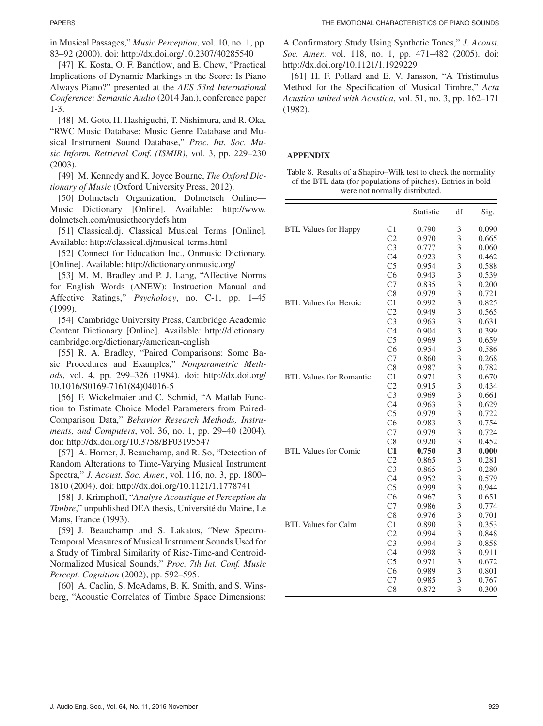in Musical Passages," *Music Perception*, vol. 10, no. 1, pp. 83–92 (2000). doi: http://dx.doi.org/10.2307/40285540

[47] K. Kosta, O. F. Bandtlow, and E. Chew, "Practical Implications of Dynamic Markings in the Score: Is Piano Always Piano?" presented at the *AES 53rd International Conference: Semantic Audio* (2014 Jan.), conference paper 1-3.

[48] M. Goto, H. Hashiguchi, T. Nishimura, and R. Oka, "RWC Music Database: Music Genre Database and Musical Instrument Sound Database," *Proc. Int. Soc. Music Inform. Retrieval Conf. (ISMIR)*, vol. 3, pp. 229–230 (2003).

[49] M. Kennedy and K. Joyce Bourne, *The Oxford Dictionary of Music* (Oxford University Press, 2012).

[50] Dolmetsch Organization, Dolmetsch Online— Music Dictionary [Online]. Available: http://www. dolmetsch.com/musictheorydefs.htm

[51] Classical.dj. Classical Musical Terms [Online]. Available: http://classical.dj/musical\_terms.html

[52] Connect for Education Inc., Onmusic Dictionary. [Online]. Available: http://dictionary.onmusic.org/

[53] M. M. Bradley and P. J. Lang, "Affective Norms for English Words (ANEW): Instruction Manual and Affective Ratings," *Psychology*, no. C-1, pp. 1–45 (1999).

[54] Cambridge University Press, Cambridge Academic Content Dictionary [Online]. Available: http://dictionary. cambridge.org/dictionary/american-english

[55] R. A. Bradley, "Paired Comparisons: Some Basic Procedures and Examples," *Nonparametric Methods*, vol. 4, pp. 299–326 (1984). doi: http://dx.doi.org/ 10.1016/S0169-7161(84)04016-5

[56] F. Wickelmaier and C. Schmid, "A Matlab Function to Estimate Choice Model Parameters from Paired-Comparison Data," *Behavior Research Methods, Instruments, and Computers*, vol. 36, no. 1, pp. 29–40 (2004). doi: http://dx.doi.org/10.3758/BF03195547

[57] A. Horner, J. Beauchamp, and R. So, "Detection of Random Alterations to Time-Varying Musical Instrument Spectra," *J. Acoust. Soc. Amer.*, vol. 116, no. 3, pp. 1800– 1810 (2004). doi: http://dx.doi.org/10.1121/1.1778741

[58] J. Krimphoff, "*Analyse Acoustique et Perception du Timbre*," unpublished DEA thesis, Université du Maine, Le Mans, France (1993).

[59] J. Beauchamp and S. Lakatos, "New Spectro-Temporal Measures of Musical Instrument Sounds Used for a Study of Timbral Similarity of Rise-Time-and Centroid-Normalized Musical Sounds," *Proc. 7th Int. Conf. Music Percept. Cognition* (2002), pp. 592–595.

[60] A. Caclin, S. McAdams, B. K. Smith, and S. Winsberg, "Acoustic Correlates of Timbre Space Dimensions: A Confirmatory Study Using Synthetic Tones," *J. Acoust. Soc. Amer.*, vol. 118, no. 1, pp. 471–482 (2005). doi: http://dx.doi.org/10.1121/1.1929229

[61] H. F. Pollard and E. V. Jansson, "A Tristimulus Method for the Specification of Musical Timbre," *Acta Acustica united with Acustica*, vol. 51, no. 3, pp. 162–171 (1982).

#### **APPENDIX**

| Table 8. Results of a Shapiro–Wilk test to check the normality |
|----------------------------------------------------------------|
| of the BTL data (for populations of pitches). Entries in bold  |
| were not normally distributed.                                 |

|                                |                | Statistic | df | Sig.  |
|--------------------------------|----------------|-----------|----|-------|
| <b>BTL Values for Happy</b>    | C1             | 0.790     | 3  | 0.090 |
|                                | C <sub>2</sub> | 0.970     | 3  | 0.665 |
|                                | C <sub>3</sub> | 0.777     | 3  | 0.060 |
|                                | C <sub>4</sub> | 0.923     | 3  | 0.462 |
|                                | C <sub>5</sub> | 0.954     | 3  | 0.588 |
|                                | C6             | 0.943     | 3  | 0.539 |
|                                | C7             | 0.835     | 3  | 0.200 |
|                                | C8             | 0.979     | 3  | 0.721 |
| <b>BTL Values for Heroic</b>   | C1             | 0.992     | 3  | 0.825 |
|                                | C <sub>2</sub> | 0.949     | 3  | 0.565 |
|                                | C <sub>3</sub> | 0.963     | 3  | 0.631 |
|                                | C <sub>4</sub> | 0.904     | 3  | 0.399 |
|                                | C <sub>5</sub> | 0.969     | 3  | 0.659 |
|                                | C6             | 0.954     | 3  | 0.586 |
|                                | C7             | 0.860     | 3  | 0.268 |
|                                | C8             | 0.987     | 3  | 0.782 |
| <b>BTL Values for Romantic</b> | C1             | 0.971     | 3  | 0.670 |
|                                | C <sub>2</sub> | 0.915     | 3  | 0.434 |
|                                | C <sub>3</sub> | 0.969     | 3  | 0.661 |
|                                | C <sub>4</sub> | 0.963     | 3  | 0.629 |
|                                | C <sub>5</sub> | 0.979     | 3  | 0.722 |
|                                | C6             | 0.983     | 3  | 0.754 |
|                                | C7             | 0.979     | 3  | 0.724 |
|                                | C8             | 0.920     | 3  | 0.452 |
| <b>BTL Values for Comic</b>    | C1             | 0.750     | 3  | 0.000 |
|                                | C <sub>2</sub> | 0.865     | 3  | 0.281 |
|                                | C <sub>3</sub> | 0.865     | 3  | 0.280 |
|                                | C <sub>4</sub> | 0.952     | 3  | 0.579 |
|                                | C <sub>5</sub> | 0.999     | 3  | 0.944 |
|                                | C6             | 0.967     | 3  | 0.651 |
|                                | C7             | 0.986     | 3  | 0.774 |
|                                | C8             | 0.976     | 3  | 0.701 |
| BTL Values for Calm            | C <sub>1</sub> | 0.890     | 3  | 0.353 |
|                                | C <sub>2</sub> | 0.994     | 3  | 0.848 |
|                                | C <sub>3</sub> | 0.994     | 3  | 0.858 |
|                                | C <sub>4</sub> | 0.998     | 3  | 0.911 |
|                                | C <sub>5</sub> | 0.971     | 3  | 0.672 |
|                                | C6             | 0.989     | 3  | 0.801 |
|                                | C7             | 0.985     | 3  | 0.767 |
|                                | C8             | 0.872     | 3  | 0.300 |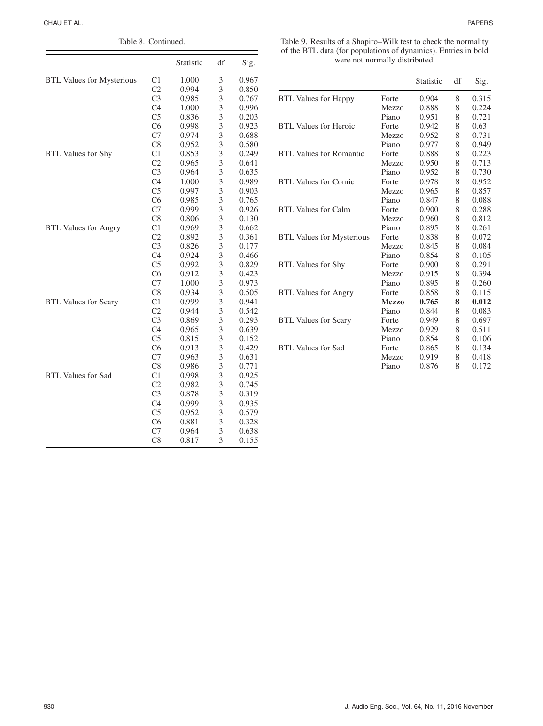| Table 8. Continued.              |                |           |    |       |
|----------------------------------|----------------|-----------|----|-------|
|                                  |                | Statistic | df | Sig.  |
| <b>BTL Values for Mysterious</b> | C <sub>1</sub> | 1.000     | 3  | 0.967 |
|                                  | C <sub>2</sub> | 0.994     | 3  | 0.850 |
|                                  | C <sub>3</sub> | 0.985     | 3  | 0.767 |
|                                  | C <sub>4</sub> | 1.000     | 3  | 0.996 |
|                                  | C <sub>5</sub> | 0.836     | 3  | 0.203 |
|                                  | C6             | 0.998     | 3  | 0.923 |
|                                  | C7             | 0.974     | 3  | 0.688 |
|                                  | C8             | 0.952     | 3  | 0.580 |
| <b>BTL Values for Shy</b>        | C <sub>1</sub> | 0.853     | 3  | 0.249 |
|                                  | C <sub>2</sub> | 0.965     | 3  | 0.641 |
| <b>BTL Values for Angry</b>      | C <sub>3</sub> | 0.964     | 3  | 0.635 |
|                                  | C <sub>4</sub> | 1.000     | 3  | 0.989 |
|                                  | C <sub>5</sub> | 0.997     | 3  | 0.903 |
|                                  | C6             | 0.985     | 3  | 0.765 |
|                                  | C7             | 0.999     | 3  | 0.926 |
|                                  | C8             | 0.806     | 3  | 0.130 |
|                                  | C <sub>1</sub> | 0.969     | 3  | 0.662 |
|                                  | C <sub>2</sub> | 0.892     | 3  | 0.361 |
|                                  | C <sub>3</sub> | 0.826     | 3  | 0.177 |
|                                  | C <sub>4</sub> | 0.924     | 3  | 0.466 |
|                                  | C <sub>5</sub> | 0.992     | 3  | 0.829 |
|                                  | C6             | 0.912     | 3  | 0.423 |
|                                  | C7             | 1.000     | 3  | 0.973 |
|                                  | C8             | 0.934     | 3  | 0.505 |
| <b>BTL Values for Scary</b>      | C <sub>1</sub> | 0.999     | 3  | 0.941 |
|                                  | C <sub>2</sub> | 0.944     | 3  | 0.542 |
|                                  | C <sub>3</sub> | 0.869     | 3  | 0.293 |
|                                  | C <sub>4</sub> | 0.965     | 3  | 0.639 |
|                                  | C <sub>5</sub> | 0.815     | 3  | 0.152 |
|                                  | C6             | 0.913     | 3  | 0.429 |
|                                  | C7             | 0.963     | 3  | 0.631 |
|                                  | C8             | 0.986     | 3  | 0.771 |
| <b>BTL Values for Sad</b>        | C1             | 0.998     | 3  | 0.925 |
|                                  | C <sub>2</sub> | 0.982     | 3  | 0.745 |
|                                  | C <sub>3</sub> | 0.878     | 3  | 0.319 |
|                                  | C <sub>4</sub> | 0.999     | 3  | 0.935 |
|                                  | C <sub>5</sub> | 0.952     | 3  | 0.579 |
|                                  | C6             | 0.881     | 3  | 0.328 |
|                                  | C7             | 0.964     | 3  | 0.638 |
|                                  | C8             | 0.817     | 3  | 0.155 |

| Table 9. Results of a Shapiro–Wilk test to check the normality |
|----------------------------------------------------------------|
| of the BTL data (for populations of dynamics). Entries in bold |
| were not normally distributed.                                 |

|                                  |              | Statistic | df | Sig.  |
|----------------------------------|--------------|-----------|----|-------|
| <b>BTL Values for Happy</b>      | Forte        | 0.904     | 8  | 0.315 |
|                                  | Mezzo        | 0.888     | 8  | 0.224 |
|                                  | Piano        | 0.951     | 8  | 0.721 |
| BTL Values for Heroic            | Forte        | 0.942     | 8  | 0.63  |
|                                  | Mezzo        | 0.952     | 8  | 0.731 |
|                                  | Piano        | 0.977     | 8  | 0.949 |
| BTL Values for Romantic          | Forte        | 0.888     | 8  | 0.223 |
|                                  | Mezzo        | 0.950     | 8  | 0.713 |
|                                  | Piano        | 0.952     | 8  | 0.730 |
| <b>BTL Values for Comic</b>      | Forte        | 0.978     | 8  | 0.952 |
|                                  | Mezzo        | 0.965     | 8  | 0.857 |
|                                  | Piano        | 0.847     | 8  | 0.088 |
| BTL Values for Calm              | Forte        | 0.900     | 8  | 0.288 |
|                                  | Mezzo        | 0.960     | 8  | 0.812 |
|                                  | Piano        | 0.895     | 8  | 0.261 |
| <b>BTL Values for Mysterious</b> | Forte        | 0.838     | 8  | 0.072 |
|                                  | Mezzo        | 0.845     | 8  | 0.084 |
|                                  | Piano        | 0.854     | 8  | 0.105 |
| <b>BTL Values for Shy</b>        | Forte        | 0.900     | 8  | 0.291 |
|                                  | Mezzo        | 0.915     | 8  | 0.394 |
|                                  | Piano        | 0.895     | 8  | 0.260 |
| <b>BTL Values for Angry</b>      | Forte        | 0.858     | 8  | 0.115 |
|                                  | <b>Mezzo</b> | 0.765     | 8  | 0.012 |
|                                  | Piano        | 0.844     | 8  | 0.083 |
| <b>BTL Values for Scary</b>      | Forte        | 0.949     | 8  | 0.697 |
|                                  | Mezzo        | 0.929     | 8  | 0.511 |
|                                  | Piano        | 0.854     | 8  | 0.106 |
| <b>BTL Values for Sad</b>        | Forte        | 0.865     | 8  | 0.134 |
|                                  | Mezzo        | 0.919     | 8  | 0.418 |
|                                  | Piano        | 0.876     | 8  | 0.172 |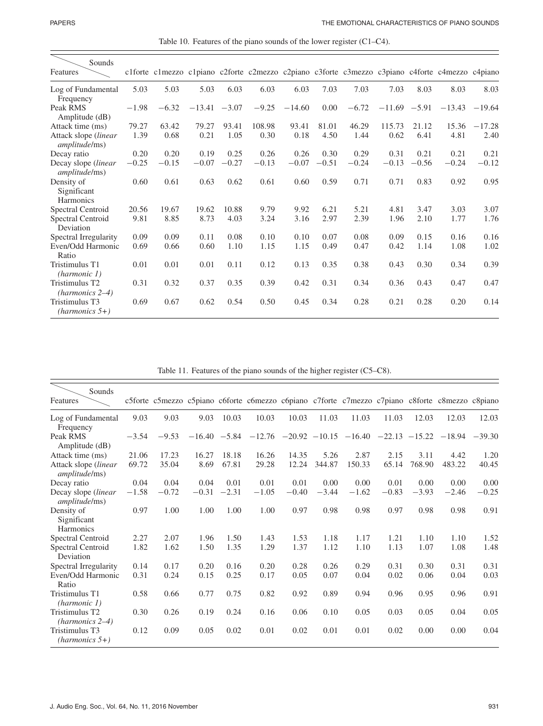| Table 10. Features of the piano sounds of the lower register $(C1-C4)$ . |
|--------------------------------------------------------------------------|
|--------------------------------------------------------------------------|

| Sounds<br>Features                           |         |         |                 |         |         |          |         |         |                |         | c1forte c1mezzo c1piano c2forte c2mezzo c2piano c3forte c3mezzo c3piano c4forte c4mezzo c4piano |          |
|----------------------------------------------|---------|---------|-----------------|---------|---------|----------|---------|---------|----------------|---------|-------------------------------------------------------------------------------------------------|----------|
| Log of Fundamental<br>Frequency              | 5.03    | 5.03    | 5.03            | 6.03    | 6.03    | 6.03     | 7.03    | 7.03    | 7.03           | 8.03    | 8.03                                                                                            | 8.03     |
| Peak RMS<br>Amplitude (dB)                   | $-1.98$ | $-6.32$ | $-13.41 - 3.07$ |         | $-9.25$ | $-14.60$ | 0.00    | $-6.72$ | $-11.69 -5.91$ |         | $-13.43$                                                                                        | $-19.64$ |
| Attack time (ms)                             | 79.27   | 63.42   | 79.27           | 93.41   | 108.98  | 93.41    | 81.01   | 46.29   | 115.73         | 21.12   | 15.36                                                                                           | $-17.28$ |
| Attack slope (linear<br><i>amplitude/ms)</i> | 1.39    | 0.68    | 0.21            | 1.05    | 0.30    | 0.18     | 4.50    | 1.44    | 0.62           | 6.41    | 4.81                                                                                            | 2.40     |
| Decay ratio                                  | 0.20    | 0.20    | 0.19            | 0.25    | 0.26    | 0.26     | 0.30    | 0.29    | 0.31           | 0.21    | 0.21                                                                                            | 0.21     |
| Decay slope (linear<br><i>amplitude/ms)</i>  | $-0.25$ | $-0.15$ | $-0.07$         | $-0.27$ | $-0.13$ | $-0.07$  | $-0.51$ | $-0.24$ | $-0.13$        | $-0.56$ | $-0.24$                                                                                         | $-0.12$  |
| Density of<br>Significant<br>Harmonics       | 0.60    | 0.61    | 0.63            | 0.62    | 0.61    | 0.60     | 0.59    | 0.71    | 0.71           | 0.83    | 0.92                                                                                            | 0.95     |
| Spectral Centroid                            | 20.56   | 19.67   | 19.62           | 10.88   | 9.79    | 9.92     | 6.21    | 5.21    | 4.81           | 3.47    | 3.03                                                                                            | 3.07     |
| Spectral Centroid<br>Deviation               | 9.81    | 8.85    | 8.73            | 4.03    | 3.24    | 3.16     | 2.97    | 2.39    | 1.96           | 2.10    | 1.77                                                                                            | 1.76     |
| Spectral Irregularity                        | 0.09    | 0.09    | 0.11            | 0.08    | 0.10    | 0.10     | 0.07    | 0.08    | 0.09           | 0.15    | 0.16                                                                                            | 0.16     |
| Even/Odd Harmonic<br>Ratio                   | 0.69    | 0.66    | 0.60            | 1.10    | 1.15    | 1.15     | 0.49    | 0.47    | 0.42           | 1.14    | 1.08                                                                                            | 1.02     |
| Tristimulus T1<br>(harmonic 1)               | 0.01    | 0.01    | 0.01            | 0.11    | 0.12    | 0.13     | 0.35    | 0.38    | 0.43           | 0.30    | 0.34                                                                                            | 0.39     |
| Tristimulus T2<br>$(harmonics 2-4)$          | 0.31    | 0.32    | 0.37            | 0.35    | 0.39    | 0.42     | 0.31    | 0.34    | 0.36           | 0.43    | 0.47                                                                                            | 0.47     |
| Tristimulus T3<br>$(harmonics 5+)$           | 0.69    | 0.67    | 0.62            | 0.54    | 0.50    | 0.45     | 0.34    | 0.28    | 0.21           | 0.28    | 0.20                                                                                            | 0.14     |

Table 11. Features of the piano sounds of the higher register (C5–C8).

| Sounds<br>Features                                   |         |         |                |         |         |         |         |                                                       |         |         | c5forte c5mezzo c5piano c6forte c6mezzo c6piano c7forte c7mezzo c7piano c8forte c8mezzo c8piano |         |
|------------------------------------------------------|---------|---------|----------------|---------|---------|---------|---------|-------------------------------------------------------|---------|---------|-------------------------------------------------------------------------------------------------|---------|
| Log of Fundamental<br>Frequency                      | 9.03    | 9.03    | 9.03           | 10.03   | 10.03   | 10.03   | 11.03   | 11.03                                                 | 11.03   | 12.03   | 12.03                                                                                           | 12.03   |
| Peak RMS<br>Amplitude (dB)                           | $-3.54$ | $-9.53$ | $-16.40 -5.84$ |         |         |         |         | $-12.76$ $-20.92$ $-10.15$ $-16.40$ $-22.13$ $-15.22$ |         |         | $-18.94 - 39.30$                                                                                |         |
| Attack time (ms)                                     | 21.06   | 17.23   | 16.27          | 18.18   | 16.26   | 14.35   | 5.26    | 2.87                                                  | 2.15    | 3.11    | 4.42                                                                                            | 1.20    |
| Attack slope (linear<br><i>amplitude/ms)</i>         | 69.72   | 35.04   | 8.69           | 67.81   | 29.28   | 12.24   | 344.87  | 150.33                                                | 65.14   | 768.90  | 483.22                                                                                          | 40.45   |
| Decay ratio                                          | 0.04    | 0.04    | 0.04           | 0.01    | 0.01    | 0.01    | 0.00    | 0.00                                                  | 0.01    | 0.00    | 0.00                                                                                            | 0.00    |
| Decay slope <i>(linear</i> )<br><i>amplitude/ms)</i> | $-1.58$ | $-0.72$ | $-0.31$        | $-2.31$ | $-1.05$ | $-0.40$ | $-3.44$ | $-1.62$                                               | $-0.83$ | $-3.93$ | $-2.46$                                                                                         | $-0.25$ |
| Density of<br>Significant<br>Harmonics               | 0.97    | 1.00    | 1.00           | 1.00    | 1.00    | 0.97    | 0.98    | 0.98                                                  | 0.97    | 0.98    | 0.98                                                                                            | 0.91    |
| Spectral Centroid                                    | 2.27    | 2.07    | 1.96           | 1.50    | 1.43    | 1.53    | 1.18    | 1.17                                                  | 1.21    | 1.10    | 1.10                                                                                            | 1.52    |
| Spectral Centroid<br>Deviation                       | 1.82    | 1.62    | 1.50           | 1.35    | 1.29    | 1.37    | 1.12    | 1.10                                                  | 1.13    | 1.07    | 1.08                                                                                            | 1.48    |
| Spectral Irregularity                                | 0.14    | 0.17    | 0.20           | 0.16    | 0.20    | 0.28    | 0.26    | 0.29                                                  | 0.31    | 0.30    | 0.31                                                                                            | 0.31    |
| Even/Odd Harmonic<br>Ratio                           | 0.31    | 0.24    | 0.15           | 0.25    | 0.17    | 0.05    | 0.07    | 0.04                                                  | 0.02    | 0.06    | 0.04                                                                                            | 0.03    |
| Tristimulus T1<br>(harmonic 1)                       | 0.58    | 0.66    | 0.77           | 0.75    | 0.82    | 0.92    | 0.89    | 0.94                                                  | 0.96    | 0.95    | 0.96                                                                                            | 0.91    |
| Tristimulus T2<br>$(harmonics 2-4)$                  | 0.30    | 0.26    | 0.19           | 0.24    | 0.16    | 0.06    | 0.10    | 0.05                                                  | 0.03    | 0.05    | 0.04                                                                                            | 0.05    |
| Tristimulus T3<br>$(harmonics 5+)$                   | 0.12    | 0.09    | 0.05           | 0.02    | 0.01    | 0.02    | 0.01    | 0.01                                                  | 0.02    | 0.00    | 0.00                                                                                            | 0.04    |